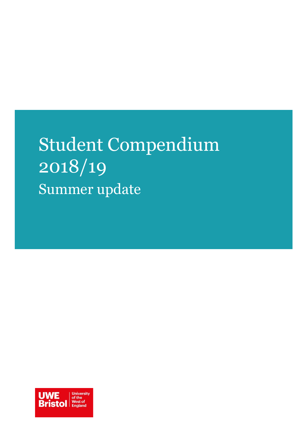# Student Compendium 2018/19 Summer update

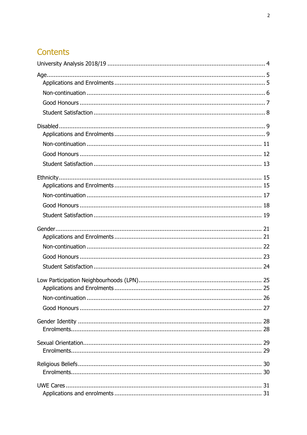## Contents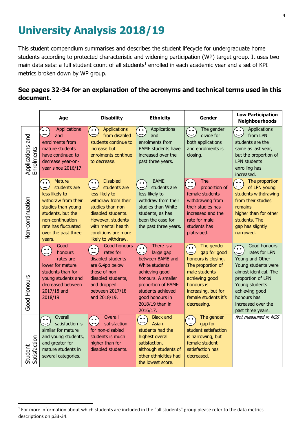## <span id="page-3-0"></span>**University Analysis 2018/19**

This student compendium summarises and describes the student lifecycle for undergraduate home students according to protected characteristic and widening participation (WP) target group. It uses two main data sets: a full student count of all students<sup>1</sup> enrolled in each academic year and a set of KPI metrics broken down by WP group.

### **See pages 32-34 for an explanation of the acronyms and technical terms used in this document.**

|                                | Age                                                                                                                                                                                                              | <b>Disability</b>                                                                                                                                                                                                              | <b>Ethnicity</b>                                                                                                                                                                                                                                        | Gender                                                                                                                                                                                                    | <b>Low Participation</b><br><b>Neighbourhoods</b>                                                                                                                                                                                      |
|--------------------------------|------------------------------------------------------------------------------------------------------------------------------------------------------------------------------------------------------------------|--------------------------------------------------------------------------------------------------------------------------------------------------------------------------------------------------------------------------------|---------------------------------------------------------------------------------------------------------------------------------------------------------------------------------------------------------------------------------------------------------|-----------------------------------------------------------------------------------------------------------------------------------------------------------------------------------------------------------|----------------------------------------------------------------------------------------------------------------------------------------------------------------------------------------------------------------------------------------|
| Applications and<br>Enrolments | <b>Applications</b><br>່∘∘<br>and<br>enrolments from<br>mature students<br>have continued to<br>decrease year-on-<br>year since 2016/17.                                                                         | <b>Applications</b><br>$\circ$ $\circ$<br>from disabled<br>students continue to<br>increase but<br>enrolments continue<br>to decrease.                                                                                         | Applications<br>$\circ$ $\circ$<br>and<br>enrolments from<br><b>BAME</b> students have<br>increased over the<br>past three years.                                                                                                                       | The gender<br>$^{\circ}$ 0 $^{\circ}$<br>divide for<br>both applications<br>and enrolments is<br>closing.                                                                                                 | Applications<br>ິ •<br>from LPN<br>students are the<br>same as last year,<br>but the proportion of<br><b>LPN</b> students<br>enrolling has<br>increased.                                                                               |
| Non-continuation               | <b>Mature</b><br>$\circ$ $\circ$<br>students are<br>less likely to<br>withdraw from their<br>studies than young<br>students, but the<br>non-continuation<br>rate has fluctuated<br>over the past three<br>years. | <b>Disabled</b><br>0 <sub>0</sub><br>students are<br>less likely to<br>withdraw from their<br>studies than non-<br>disabled students.<br>However, students<br>with mental health<br>conditions are more<br>likely to withdraw. | <b>BAME</b><br>$\circ$ $\circ$<br>students are<br>less likely to<br>withdraw from their<br>studies than White<br>students, as has<br>been the case for<br>the past three years.                                                                         | <b>The</b><br>່∘∘<br>proportion of<br>female students<br>withdrawing from<br>their studies has<br>increased and the<br>rate for male<br>students has<br>plateaued.                                        | The proportion<br>′••<br>of LPN young<br>students withdrawing<br>from their studies<br>remains<br>higher than for other<br>students. The<br>gap has slightly<br>narrowed.                                                              |
| Good Honours                   | Good<br>$^{\circ}$<br>honours<br>rates are<br>lower for mature<br>students than for<br>young students and<br>decreased between<br>2017/18 and<br>2018/19.                                                        | <b>Good honours</b><br>່∘∘<br>rates for<br>disabled students<br>are 6.4pp below<br>those of non-<br>disabled students,<br>and dropped<br>between 2017/18<br>and 2018/19.                                                       | There is a<br>$^{\circ}$ $^{\circ}$<br>$\overline{\phantom{1}}$<br>large gap<br>between BAME and<br>White students<br>achieving good<br>honours. A smaller<br>proportion of BAME<br>students achieved<br>good honours in<br>2018/19 than in<br>2016/17. | The gender<br>$\ddot{\bullet}$<br>gap for good<br>honours is closing.<br>The proportion of<br>male students<br>achieving good<br>honours is<br>increasing, but for<br>female students it's<br>decreasing. | Good honours<br>$\circ$ $\circ$<br>rates for LPN<br>Young and Other<br>Young students were<br>almost identical. The<br>proportion of LPN<br>Young students<br>achieving good<br>honours has<br>increased over the<br>past three years. |
| Student<br>Satisfaction        | Overall<br>$\bullet$ $\bullet$<br>satisfaction is<br>similar for mature<br>and young students,<br>and greater for<br>mature students in<br>several categories.                                                   | Overall<br>$\circ$ $\circ$<br>satisfaction<br>for non-disabled<br>students is much<br>higher than for<br>disabled students.                                                                                                    | <b>Black and</b><br>$\circ$ $\circ$<br>Asian<br>students had the<br>highest overall<br>satisfaction,<br>although students of<br>other ethnicities had<br>the lowest score.                                                                              | The gender<br>$\ddot{\bullet}$<br>gap for<br>student satisfaction<br>is narrowing, but<br>female student<br>satisfaction has<br>decreased.                                                                | Not measured in NSS                                                                                                                                                                                                                    |

j

 $1$  For more information about which students are included in the "all students" group please refer to the data metrics descriptions on p33-34.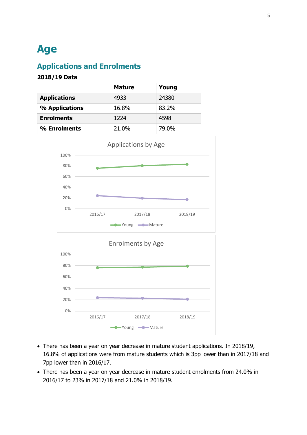## <span id="page-4-0"></span>**Age**

## <span id="page-4-1"></span>**Applications and Enrolments**

|                     | <b>Mature</b> | Young |
|---------------------|---------------|-------|
| <b>Applications</b> | 4933          | 24380 |
| % Applications      | 16.8%         | 83.2% |
| <b>Enrolments</b>   | 1224          | 4598  |
| % Enrolments        | 21.0%         | 79.0% |



- There has been a year on year decrease in mature student applications. In 2018/19, 16.8% of applications were from mature students which is 3pp lower than in 2017/18 and 7pp lower than in 2016/17.
- There has been a year on year decrease in mature student enrolments from 24.0% in 2016/17 to 23% in 2017/18 and 21.0% in 2018/19.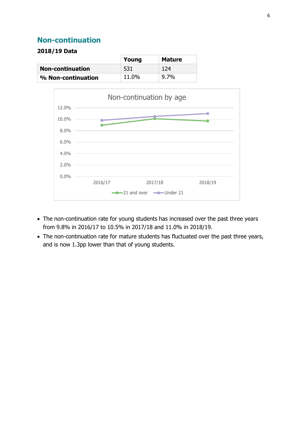### <span id="page-5-0"></span>**Non-continuation**

|                         | Young | <b>Mature</b> |
|-------------------------|-------|---------------|
| <b>Non-continuation</b> | -531  | 124           |
| % Non-continuation      | 11.0% | 9.7%          |



- The non-continuation rate for young students has increased over the past three years from 9.8% in 2016/17 to 10.5% in 2017/18 and 11.0% in 2018/19.
- The non-continuation rate for mature students has fluctuated over the past three years, and is now 1.3pp lower than that of young students.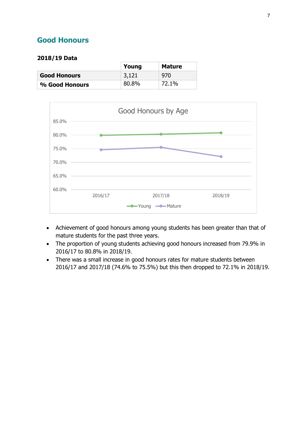### <span id="page-6-0"></span>**Good Honours**

|                     | Young | <b>Mature</b> |
|---------------------|-------|---------------|
| <b>Good Honours</b> | 3,121 | 970           |
| % Good Honours      | 80.8% | 72.1%         |



- Achievement of good honours among young students has been greater than that of mature students for the past three years.
- The proportion of young students achieving good honours increased from 79.9% in 2016/17 to 80.8% in 2018/19.
- There was a small increase in good honours rates for mature students between 2016/17 and 2017/18 (74.6% to 75.5%) but this then dropped to 72.1% in 2018/19.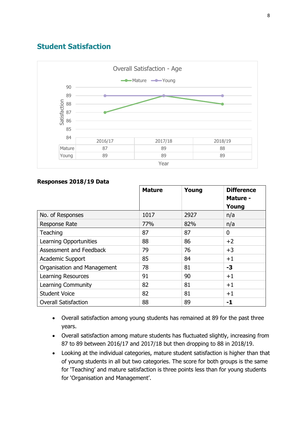### <span id="page-7-0"></span>**Student Satisfaction**



|                             | <b>Mature</b> | Young | <b>Difference</b><br>Mature -<br>Young |
|-----------------------------|---------------|-------|----------------------------------------|
| No. of Responses            | 1017          | 2927  | n/a                                    |
| <b>Response Rate</b>        | 77%           | 82%   | n/a                                    |
| Teaching                    | 87            | 87    | 0                                      |
| Learning Opportunities      | 88            | 86    | $+2$                                   |
| Assessment and Feedback     | 79            | 76    | $+3$                                   |
| <b>Academic Support</b>     | 85            | 84    | $+1$                                   |
| Organisation and Management | 78            | 81    | -3                                     |
| <b>Learning Resources</b>   | 91            | 90    | $+1$                                   |
| Learning Community          | 82            | 81    | $+1$                                   |
| <b>Student Voice</b>        | 82            | 81    | $+1$                                   |
| <b>Overall Satisfaction</b> | 88            | 89    | -1                                     |

#### **Responses 2018/19 Data**

- Overall satisfaction among young students has remained at 89 for the past three years.
- Overall satisfaction among mature students has fluctuated slightly, increasing from 87 to 89 between 2016/17 and 2017/18 but then dropping to 88 in 2018/19.
- Looking at the individual categories, mature student satisfaction is higher than that of young students in all but two categories. The score for both groups is the same for 'Teaching' and mature satisfaction is three points less than for young students for 'Organisation and Management'.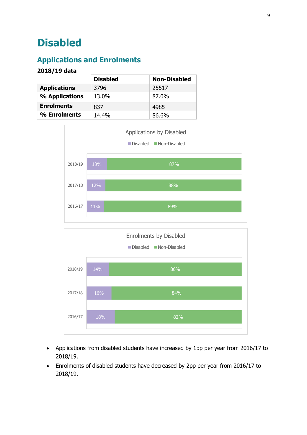## <span id="page-8-0"></span>**Disabled**

## <span id="page-8-1"></span>**Applications and Enrolments**

|                     | <b>Disabled</b> | <b>Non-Disabled</b> |
|---------------------|-----------------|---------------------|
| <b>Applications</b> | 3796            | 25517               |
| % Applications      | 13.0%           | 87.0%               |
| <b>Enrolments</b>   | 837             | 4985                |
| % Enrolments        | 14.4%           | 86.6%               |





- Applications from disabled students have increased by 1pp per year from 2016/17 to 2018/19.
- Enrolments of disabled students have decreased by 2pp per year from 2016/17 to 2018/19.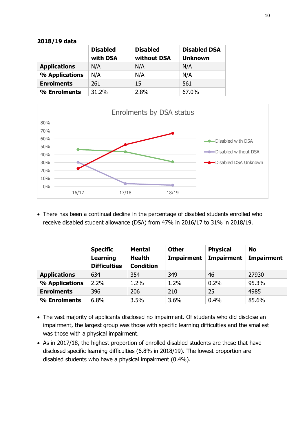| 2018/19 data |  |
|--------------|--|
|--------------|--|

|                     | <b>Disabled</b><br>with DSA | <b>Disabled</b><br>without DSA | <b>Disabled DSA</b><br><b>Unknown</b> |
|---------------------|-----------------------------|--------------------------------|---------------------------------------|
| <b>Applications</b> | N/A                         | N/A                            | N/A                                   |
| % Applications      | N/A                         | N/A                            | N/A                                   |
| <b>Enrolments</b>   | 261                         | 15                             | 561                                   |
| % Enrolments        | 31.2%                       | 2.8%                           | 67.0%                                 |



 There has been a continual decline in the percentage of disabled students enrolled who receive disabled student allowance (DSA) from 47% in 2016/17 to 31% in 2018/19.

|                     | <b>Specific</b><br>Learning<br><b>Difficulties</b> | <b>Mental</b><br><b>Health</b><br><b>Condition</b> | <b>Other</b><br><b>Impairment</b> | <b>Physical</b><br><b>Impairment</b> | <b>No</b><br><b>Impairment</b> |
|---------------------|----------------------------------------------------|----------------------------------------------------|-----------------------------------|--------------------------------------|--------------------------------|
| <b>Applications</b> | 634                                                | 354                                                | 349                               | 46                                   | 27930                          |
| % Applications      | 2.2%                                               | 1.2%                                               | 1.2%                              | 0.2%                                 | 95.3%                          |
| <b>Enrolments</b>   | 396                                                | 206                                                | 210                               | 25                                   | 4985                           |
| % Enrolments        | 6.8%                                               | 3.5%                                               | 3.6%                              | 0.4%                                 | 85.6%                          |

- The vast majority of applicants disclosed no impairment. Of students who did disclose an impairment, the largest group was those with specific learning difficulties and the smallest was those with a physical impairment.
- As in 2017/18, the highest proportion of enrolled disabled students are those that have disclosed specific learning difficulties (6.8% in 2018/19). The lowest proportion are disabled students who have a physical impairment (0.4%).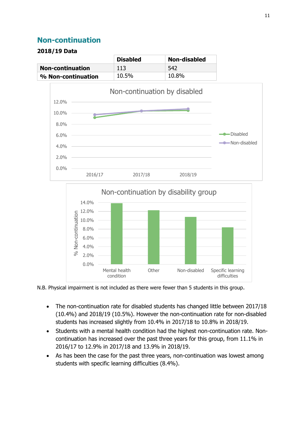### <span id="page-10-0"></span>**Non-continuation**

|                         | <b>Disabled</b> | <b>Non-disabled</b> |
|-------------------------|-----------------|---------------------|
| <b>Non-continuation</b> | 113             | 542                 |
| % Non-continuation      | 10.5%           | 10.8%               |





N.B. Physical impairment is not included as there were fewer than 5 students in this group.

- The non-continuation rate for disabled students has changed little between 2017/18 (10.4%) and 2018/19 (10.5%). However the non-continuation rate for non-disabled students has increased slightly from 10.4% in 2017/18 to 10.8% in 2018/19.
- Students with a mental health condition had the highest non-continuation rate. Noncontinuation has increased over the past three years for this group, from 11.1% in 2016/17 to 12.9% in 2017/18 and 13.9% in 2018/19.
- As has been the case for the past three years, non-continuation was lowest among students with specific learning difficulties (8.4%).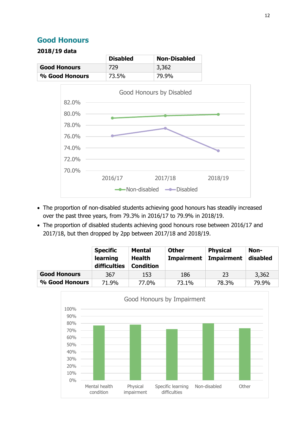## <span id="page-11-0"></span>**Good Honours**

|                     | <b>Disabled</b> | <b>Non-Disabled</b> |
|---------------------|-----------------|---------------------|
| <b>Good Honours</b> | 729             | 3,362               |
| % Good Honours      | 73.5%           | 79.9%               |



- The proportion of non-disabled students achieving good honours has steadily increased over the past three years, from 79.3% in 2016/17 to 79.9% in 2018/19.
- The proportion of disabled students achieving good honours rose between 2016/17 and 2017/18, but then dropped by 2pp between 2017/18 and 2018/19.

|                     | <b>Specific</b><br>learning<br>difficulties | <b>Mental</b><br><b>Health</b><br><b>Condition</b> | <b>Other</b><br><b>Impairment</b> | <b>Physical</b><br><b>Impairment</b> | Non-<br>disabled |
|---------------------|---------------------------------------------|----------------------------------------------------|-----------------------------------|--------------------------------------|------------------|
| <b>Good Honours</b> | 367                                         | 153                                                | 186                               | 23                                   | 3,362            |
| % Good Honours      | 71.9%                                       | 77.0%                                              | 73.1%                             | 78.3%                                | 79.9%            |

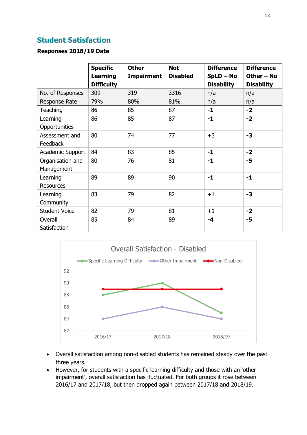## <span id="page-12-0"></span>**Student Satisfaction**

#### **Responses 2018/19 Data**

|                      |                   | <b>Other</b>      | <b>Not</b>      | <b>Difference</b> | <b>Difference</b> |
|----------------------|-------------------|-------------------|-----------------|-------------------|-------------------|
|                      | <b>Specific</b>   |                   |                 |                   |                   |
|                      | <b>Learning</b>   | <b>Impairment</b> | <b>Disabled</b> | $SpLD - No$       | Other - No        |
|                      | <b>Difficulty</b> |                   |                 | <b>Disability</b> | <b>Disability</b> |
| No. of Responses     | 309               | 319               | 3316            | n/a               | n/a               |
| Response Rate        | 79%               | 80%               | 81%             | n/a               | n/a               |
| Teaching             | 86                | 85                | 87              | $-1$              | $-2$              |
| Learning             | 86                | 85                | 87              | $-1$              | $-2$              |
| Opportunities        |                   |                   |                 |                   |                   |
| Assessment and       | 80                | 74                | 77              | $+3$              | $-3$              |
| Feedback             |                   |                   |                 |                   |                   |
| Academic Support     | 84                | 83                | 85              | $-1$              | $-2$              |
| Organisation and     | 80                | 76                | 81              | $-1$              | $-5$              |
| Management           |                   |                   |                 |                   |                   |
| Learning             | 89                | 89                | 90              | $-1$              | $-1$              |
| <b>Resources</b>     |                   |                   |                 |                   |                   |
| Learning             | 83                | 79                | 82              | $+1$              | $-3$              |
| Community            |                   |                   |                 |                   |                   |
| <b>Student Voice</b> | 82                | 79                | 81              | $+1$              | $-2$              |
| Overall              | 85                | 84                | 89              | -4                | $-5$              |
| Satisfaction         |                   |                   |                 |                   |                   |



- Overall satisfaction among non-disabled students has remained steady over the past three years.
- However, for students with a specific learning difficulty and those with an 'other impairment', overall satisfaction has fluctuated. For both groups it rose between 2016/17 and 2017/18, but then dropped again between 2017/18 and 2018/19.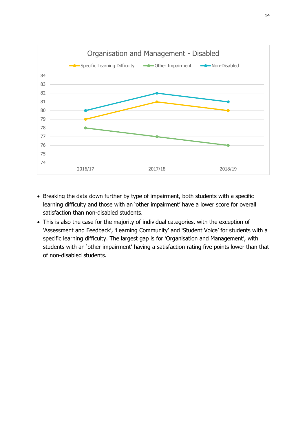

- Breaking the data down further by type of impairment, both students with a specific learning difficulty and those with an 'other impairment' have a lower score for overall satisfaction than non-disabled students.
- This is also the case for the majority of individual categories, with the exception of 'Assessment and Feedback', 'Learning Community' and 'Student Voice' for students with a specific learning difficulty. The largest gap is for 'Organisation and Management', with students with an 'other impairment' having a satisfaction rating five points lower than that of non-disabled students.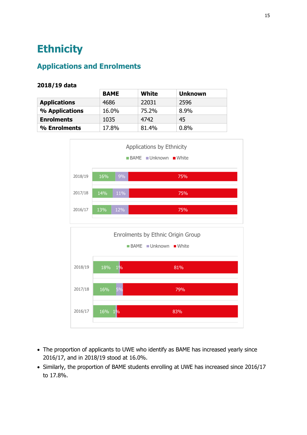## <span id="page-14-0"></span>**Ethnicity**

## <span id="page-14-1"></span>**Applications and Enrolments**

|                     | <b>BAME</b> | White | <b>Unknown</b> |
|---------------------|-------------|-------|----------------|
| <b>Applications</b> | 4686        | 22031 | 2596           |
| % Applications      | 16.0%       | 75.2% | 8.9%           |
| <b>Enrolments</b>   | 1035        | 4742  | 45             |
| % Enrolments        | 17.8%       | 81.4% | 0.8%           |



- The proportion of applicants to UWE who identify as BAME has increased yearly since 2016/17, and in 2018/19 stood at 16.0%.
- Similarly, the proportion of BAME students enrolling at UWE has increased since 2016/17 to 17.8%.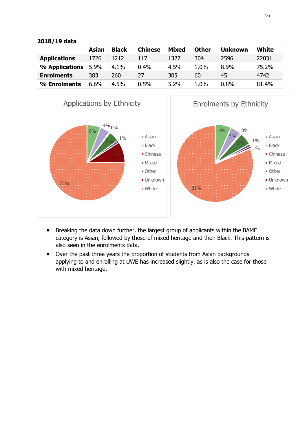|                     | Asian | <b>Black</b> | <b>Chinese</b> | <b>Mixed</b> | <b>Other</b> | <b>Unknown</b> | <b>White</b> |
|---------------------|-------|--------------|----------------|--------------|--------------|----------------|--------------|
|                     |       |              |                |              |              |                |              |
| <b>Applications</b> | 1726  | 1212         | 117            | 1327         | 304          | 2596           | 22031        |
| % Applications      | 5.9%  | 4.1%         | 0.4%           | 4.5%         | 1.0%         | 8.9%           | 75.2%        |
| <b>Enrolments</b>   | 383   | 260          | 27             | 305          | 60           | 45             | 4742         |
| % Enrolments        | 6.6%  | 4.5%         | 0.5%           | 5.2%         | 1.0%         | 0.8%           | 81.4%        |





- Breaking the data down further, the largest group of applicants within the BAME category is Asian, followed by those of mixed heritage and then Black. This pattern is also seen in the enrolments data.
- Over the past three years the proportion of students from Asian backgrounds applying to and enrolling at UWE has increased slightly, as is also the case for those with mixed heritage.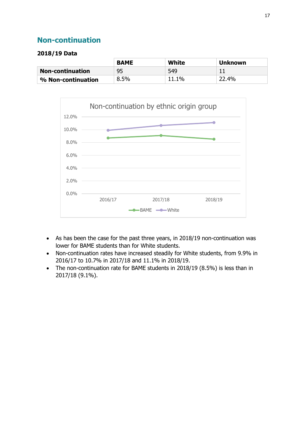## <span id="page-16-0"></span>**Non-continuation**

|                         | <b>BAME</b> | White | <b>Unknown</b> |
|-------------------------|-------------|-------|----------------|
| <b>Non-continuation</b> | 95          | 549   |                |
| % Non-continuation      | 8.5%        | 11.1% | 22.4%          |



- As has been the case for the past three years, in 2018/19 non-continuation was lower for BAME students than for White students.
- Non-continuation rates have increased steadily for White students, from 9.9% in 2016/17 to 10.7% in 2017/18 and 11.1% in 2018/19.
- The non-continuation rate for BAME students in 2018/19 (8.5%) is less than in 2017/18 (9.1%).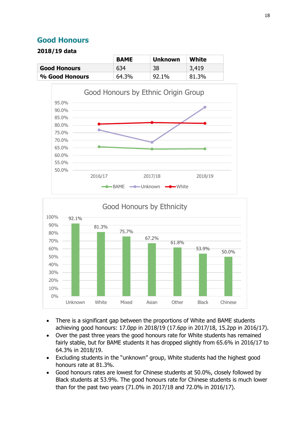### <span id="page-17-0"></span>**Good Honours**

|                     | <b>BAME</b> | <b>Unknown</b> | White |
|---------------------|-------------|----------------|-------|
| <b>Good Honours</b> | 634         | 38             | 3,419 |
| % Good Honours      | 64.3%       | 92.1%          | 81.3% |





- There is a significant gap between the proportions of White and BAME students achieving good honours: 17.0pp in 2018/19 (17.6pp in 2017/18, 15.2pp in 2016/17).
- Over the past three years the good honours rate for White students has remained fairly stable, but for BAME students it has dropped slightly from 65.6% in 2016/17 to 64.3% in 2018/19.
- Excluding students in the "unknown" group, White students had the highest good honours rate at 81.3%.
- Good honours rates are lowest for Chinese students at 50.0%, closely followed by Black students at 53.9%. The good honours rate for Chinese students is much lower than for the past two years (71.0% in 2017/18 and 72.0% in 2016/17).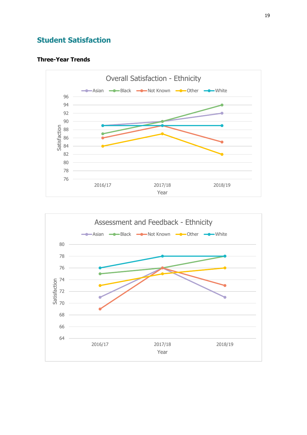## <span id="page-18-0"></span>**Student Satisfaction**

#### **Three-Year Trends**



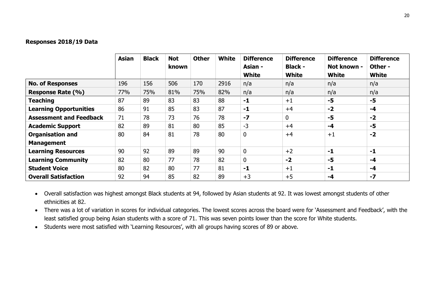#### **Responses 2018/19 Data**

|                                              | <b>Asian</b> | <b>Black</b> | <b>Not</b><br>known | <b>Other</b> | <b>White</b> | <b>Difference</b><br>Asian -<br><b>White</b> | <b>Difference</b><br><b>Black -</b><br><b>White</b> | <b>Difference</b><br>Not known -<br><b>White</b> | <b>Difference</b><br>Other -<br><b>White</b> |
|----------------------------------------------|--------------|--------------|---------------------|--------------|--------------|----------------------------------------------|-----------------------------------------------------|--------------------------------------------------|----------------------------------------------|
| <b>No. of Responses</b>                      | 196          | 156          | 506                 | 170          | 2916         | n/a                                          | n/a                                                 | n/a                                              | n/a                                          |
| <b>Response Rate (%)</b>                     | 77%          | 75%          | 81%                 | 75%          | 82%          | n/a                                          | n/a                                                 | n/a                                              | n/a                                          |
| <b>Teaching</b>                              | 87           | 89           | 83                  | 83           | 88           | $-1$                                         | $+1$                                                | $-5$                                             | $-5$                                         |
| <b>Learning Opportunities</b>                | 86           | 91           | 85                  | 83           | 87           | $-1$                                         | $+4$                                                | $-2$                                             | $-4$                                         |
| <b>Assessment and Feedback</b>               | 71           | 78           | 73                  | 76           | 78           | $-7$                                         | $\mathbf 0$                                         | $-5$                                             | $-2$                                         |
| <b>Academic Support</b>                      | 82           | 89           | 81                  | 80           | 85           | $-3$                                         | $+4$                                                | $-4$                                             | $-5$                                         |
| <b>Organisation and</b><br><b>Management</b> | 80           | 84           | 81                  | 78           | 80           | $\mathbf 0$                                  | $+4$                                                | $+1$                                             | $-2$                                         |
| <b>Learning Resources</b>                    | 90           | 92           | 89                  | 89           | 90           | 0                                            | $+2$                                                | $-1$                                             | $-1$                                         |
| <b>Learning Community</b>                    | 82           | 80           | 77                  | 78           | 82           | 0                                            | $-2$                                                | $-5$                                             | $-4$                                         |
| <b>Student Voice</b>                         | 80           | 82           | 80                  | 77           | 81           | $-1$                                         | $+1$                                                | $-1$                                             | $-4$                                         |
| <b>Overall Satisfaction</b>                  | 92           | 94           | 85                  | 82           | 89           | $+3$                                         | $+5$                                                | $-4$                                             | $-7$                                         |

 Overall satisfaction was highest amongst Black students at 94, followed by Asian students at 92. It was lowest amongst students of other ethnicities at 82.

• There was a lot of variation in scores for individual categories. The lowest scores across the board were for 'Assessment and Feedback', with the least satisfied group being Asian students with a score of 71. This was seven points lower than the score for White students.

Students were most satisfied with 'Learning Resources', with all groups having scores of 89 or above.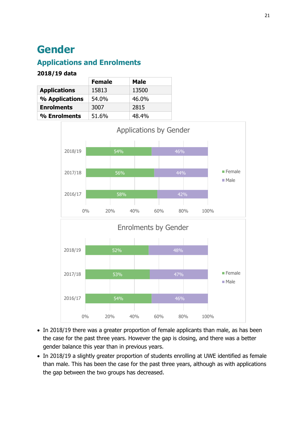## <span id="page-20-0"></span>**Gender**

## <span id="page-20-1"></span>**Applications and Enrolments**

|                     | <b>Female</b> | <b>Male</b> |
|---------------------|---------------|-------------|
| <b>Applications</b> | 15813         | 13500       |
| % Applications      | 54.0%         | 46.0%       |
| <b>Enrolments</b>   | 3007          | 2815        |
| % Enrolments        | 51.6%         | 48.4%       |



- In 2018/19 there was a greater proportion of female applicants than male, as has been the case for the past three years. However the gap is closing, and there was a better gender balance this year than in previous years.
- In 2018/19 a slightly greater proportion of students enrolling at UWE identified as female than male. This has been the case for the past three years, although as with applications the gap between the two groups has decreased.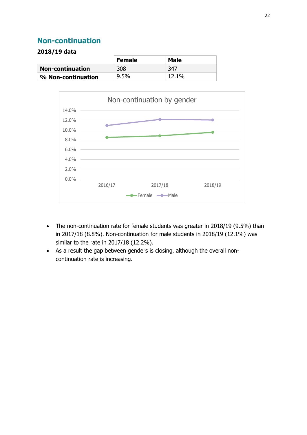### <span id="page-21-0"></span>**Non-continuation**

|                         | <b>Female</b> | Male  |
|-------------------------|---------------|-------|
| <b>Non-continuation</b> | 308           | -347  |
| % Non-continuation      | 9.5%          | 12.1% |



- The non-continuation rate for female students was greater in 2018/19 (9.5%) than in 2017/18 (8.8%). Non-continuation for male students in 2018/19 (12.1%) was similar to the rate in 2017/18 (12.2%).
- As a result the gap between genders is closing, although the overall noncontinuation rate is increasing.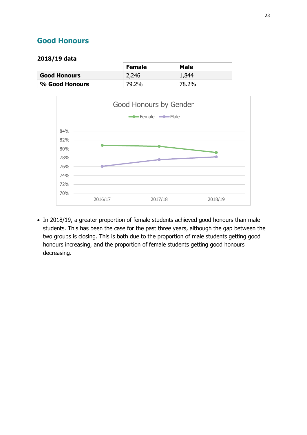## <span id="page-22-0"></span>**Good Honours**

#### **2018/19 data**

|                     | <b>Female</b> | Male  |
|---------------------|---------------|-------|
| <b>Good Honours</b> | 2,246         | 1,844 |
| % Good Honours      | 79.2%         | 78.2% |



• In 2018/19, a greater proportion of female students achieved good honours than male students. This has been the case for the past three years, although the gap between the two groups is closing. This is both due to the proportion of male students getting good honours increasing, and the proportion of female students getting good honours decreasing.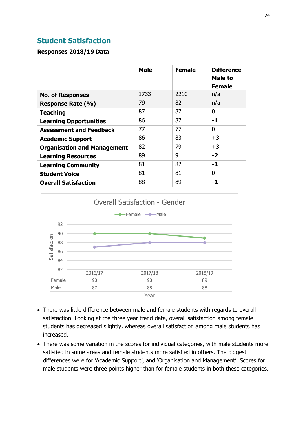### <span id="page-23-0"></span>**Student Satisfaction**

#### **Responses 2018/19 Data**

|                                    | <b>Male</b> | <b>Female</b> | <b>Difference</b><br>Male to<br><b>Female</b> |
|------------------------------------|-------------|---------------|-----------------------------------------------|
| <b>No. of Responses</b>            | 1733        | 2210          | n/a                                           |
| Response Rate (%)                  | 79          | 82            | n/a                                           |
| <b>Teaching</b>                    | 87          | 87            | 0                                             |
| <b>Learning Opportunities</b>      | 86          | 87            | -1                                            |
| <b>Assessment and Feedback</b>     | 77          | 77            | 0                                             |
| <b>Academic Support</b>            | 86          | 83            | $+3$                                          |
| <b>Organisation and Management</b> | 82          | 79            | $+3$                                          |
| <b>Learning Resources</b>          | 89          | 91            | $-2$                                          |
| <b>Learning Community</b>          | 81          | 82            | -1                                            |
| <b>Student Voice</b>               | 81          | 81            | 0                                             |
| <b>Overall Satisfaction</b>        | 88          | 89            | -1                                            |



- There was little difference between male and female students with regards to overall satisfaction. Looking at the three year trend data, overall satisfaction among female students has decreased slightly, whereas overall satisfaction among male students has increased.
- There was some variation in the scores for individual categories, with male students more satisfied in some areas and female students more satisfied in others. The biggest differences were for 'Academic Support', and 'Organisation and Management'. Scores for male students were three points higher than for female students in both these categories.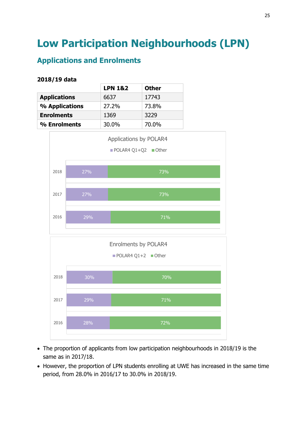## <span id="page-24-0"></span>**Low Participation Neighbourhoods (LPN)**

## <span id="page-24-1"></span>**Applications and Enrolments**

|                     | <b>LPN 1&amp;2</b> | <b>Other</b> |
|---------------------|--------------------|--------------|
| <b>Applications</b> | 6637               | 17743        |
| % Applications      | 27.2%              | 73.8%        |
| <b>Enrolments</b>   | 1369               | 3229         |
| % Enrolments        | 30.0%              | 70.0%        |



- The proportion of applicants from low participation neighbourhoods in 2018/19 is the same as in 2017/18.
- However, the proportion of LPN students enrolling at UWE has increased in the same time period, from 28.0% in 2016/17 to 30.0% in 2018/19.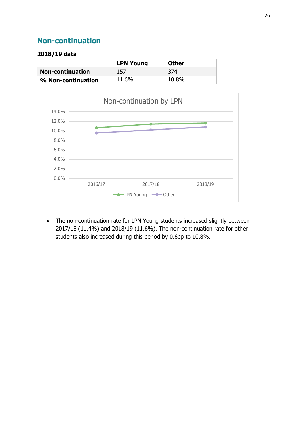## <span id="page-25-0"></span>**Non-continuation**

#### **2018/19 data**

|                         | <b>LPN Young</b> | <b>Other</b> |
|-------------------------|------------------|--------------|
| <b>Non-continuation</b> | 157              | 374          |
| % Non-continuation      | 11.6%            | 10.8%        |



 The non-continuation rate for LPN Young students increased slightly between 2017/18 (11.4%) and 2018/19 (11.6%). The non-continuation rate for other students also increased during this period by 0.6pp to 10.8%.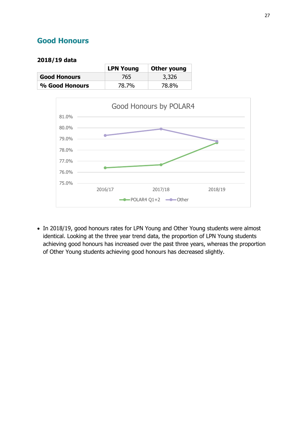## <span id="page-26-0"></span>**Good Honours**

#### **2018/19 data**

|                     | <b>LPN Young</b> | Other young |
|---------------------|------------------|-------------|
| <b>Good Honours</b> | 765              | 3,326       |
| % Good Honours      | 78.7%            | 78.8%       |



• In 2018/19, good honours rates for LPN Young and Other Young students were almost identical. Looking at the three year trend data, the proportion of LPN Young students achieving good honours has increased over the past three years, whereas the proportion of Other Young students achieving good honours has decreased slightly.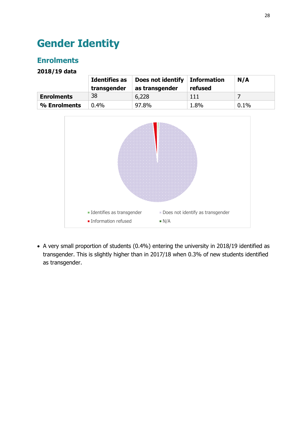## <span id="page-27-0"></span>**Gender Identity**

## <span id="page-27-1"></span>**Enrolments**

**2018/19 data**

|                   | <b>Identifies as</b><br>transgender | Does not identify<br>as transgender | Information<br>refused | N/A  |
|-------------------|-------------------------------------|-------------------------------------|------------------------|------|
| <b>Enrolments</b> | 38                                  | 6,228                               | 111                    |      |
| % Enrolments      | $0.4\%$                             | 97.8%                               | 1.8%                   | 0.1% |



 A very small proportion of students (0.4%) entering the university in 2018/19 identified as transgender. This is slightly higher than in 2017/18 when 0.3% of new students identified as transgender.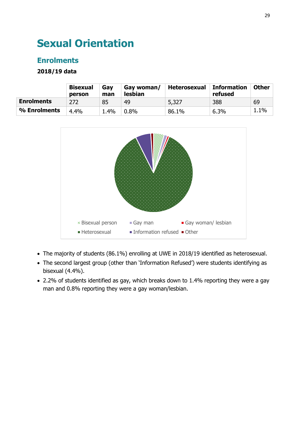## <span id="page-28-0"></span>**Sexual Orientation**

## <span id="page-28-1"></span>**Enrolments**

|                   | <b>Bisexual</b><br>person | Gav<br>man | Gay woman/<br><b>lesbian</b> | Heterosexual | <b>Information</b><br>refused | Other   |
|-------------------|---------------------------|------------|------------------------------|--------------|-------------------------------|---------|
| <b>Enrolments</b> | 272                       | 85         | 49                           | 5,327        | 388                           | 69      |
| % Enrolments      | 4.4%                      | .4%        | $0.8\%$                      | 86.1%        | 6.3%                          | $1.1\%$ |



- The majority of students (86.1%) enrolling at UWE in 2018/19 identified as heterosexual.
- The second largest group (other than 'Information Refused') were students identifying as bisexual (4.4%).
- 2.2% of students identified as gay, which breaks down to 1.4% reporting they were a gay man and 0.8% reporting they were a gay woman/lesbian.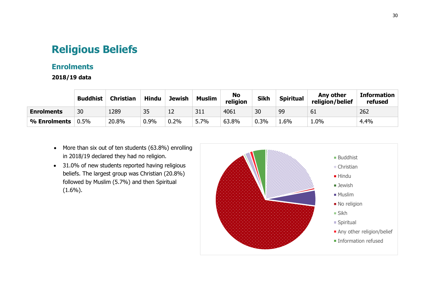## **Religious Beliefs**

### **Enrolments**

|                   | <b>Buddhist</b> | <b>Christian</b> | <b>Hindu</b> | <b>Jewish</b> | <b>Muslim</b> | <b>No</b><br>religion | <b>Sikh</b> | <b>Spiritual</b> | Any other<br>religion/belief | <b>Information</b><br>refused |
|-------------------|-----------------|------------------|--------------|---------------|---------------|-----------------------|-------------|------------------|------------------------------|-------------------------------|
| <b>Enrolments</b> | 30              | 1289             | 35           | 12            | 311           | 4061                  | 30          | 99               | 61                           | 262                           |
| % Enrolments      | 0.5%            | 20.8%            | 0.9%         | 0.2%          | 5.7%          | 63.8%                 | $0.3\%$     | 6%               | 1.0%                         | 4.4%                          |

- More than six out of ten students (63.8%) enrolling in 2018/19 declared they had no religion.
- <span id="page-29-1"></span><span id="page-29-0"></span>• 31.0% of new students reported having religious beliefs. The largest group was Christian (20.8%) followed by Muslim (5.7%) and then Spiritual  $(1.6\%)$ .

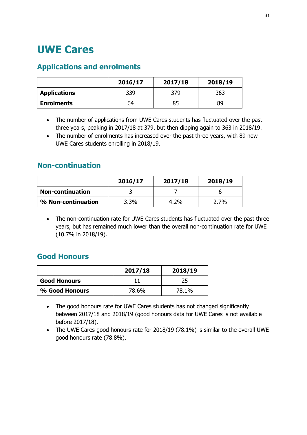## <span id="page-30-0"></span>**UWE Cares**

## <span id="page-30-1"></span>**Applications and enrolments**

|                     | 2016/17 | 2017/18 | 2018/19 |
|---------------------|---------|---------|---------|
| <b>Applications</b> | 339     | 379     | 363     |
| <b>Enrolments</b>   | 64      | 85      | 89      |

- The number of applications from UWE Cares students has fluctuated over the past three years, peaking in 2017/18 at 379, but then dipping again to 363 in 2018/19.
- The number of enrolments has increased over the past three years, with 89 new UWE Cares students enrolling in 2018/19.

### <span id="page-30-2"></span>**Non-continuation**

|                         | 2016/17 | 2017/18 | 2018/19 |
|-------------------------|---------|---------|---------|
| <b>Non-continuation</b> |         |         |         |
| % Non-continuation      | 3.3%    | $4.2\%$ | $2.7\%$ |

 The non-continuation rate for UWE Cares students has fluctuated over the past three years, but has remained much lower than the overall non-continuation rate for UWE (10.7% in 2018/19).

## <span id="page-30-3"></span>**Good Honours**

|                     | 2017/18 | 2018/19 |
|---------------------|---------|---------|
| <b>Good Honours</b> |         | 25      |
| % Good Honours      | 78.6%   | 78.1%   |

- The good honours rate for UWE Cares students has not changed significantly between 2017/18 and 2018/19 (good honours data for UWE Cares is not available before 2017/18).
- The UWE Cares good honours rate for 2018/19 (78.1%) is similar to the overall UWE good honours rate (78.8%).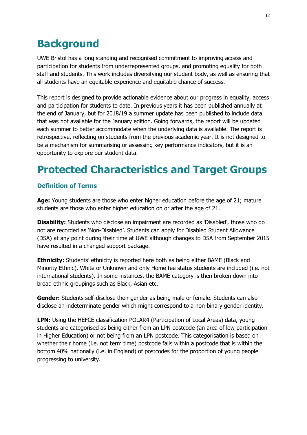## <span id="page-31-0"></span>**Background**

UWE Bristol has a long standing and recognised commitment to improving access and participation for students from underrepresented groups, and promoting equality for both staff and students. This work includes diversifying our student body, as well as ensuring that all students have an equitable experience and equitable chance of success.

This report is designed to provide actionable evidence about our progress in equality, access and participation for students to date. In previous years it has been published annually at the end of January, but for 2018/19 a summer update has been published to include data that was not available for the January edition. Going forwards, the report will be updated each summer to better accommodate when the underlying data is available. The report is retrospective, reflecting on students from the previous academic year. It is not designed to be a mechanism for summarising or assessing key performance indicators, but it is an opportunity to explore our student data.

## <span id="page-31-1"></span>**Protected Characteristics and Target Groups**

#### <span id="page-31-2"></span>**Definition of Terms**

**Age:** Young students are those who enter higher education before the age of 21; mature students are those who enter higher education on or after the age of 21.

**Disability:** Students who disclose an impairment are recorded as 'Disabled', those who do not are recorded as 'Non-Disabled'. Students can apply for Disabled Student Allowance (DSA) at any point during their time at UWE although changes to DSA from September 2015 have resulted in a changed support package.

**Ethnicity:** Students' ethnicity is reported here both as being either BAME (Black and Minority Ethnic), White or Unknown and only Home fee status students are included (i.e. not international students). In some instances, the BAME category is then broken down into broad ethnic groupings such as Black, Asian etc.

**Gender:** Students self-disclose their gender as being male or female. Students can also disclose an indeterminate gender which might correspond to a non-binary gender identity.

**LPN:** Using the HEFCE classification POLAR4 (Participation of Local Areas) data, young students are categorised as being either from an LPN postcode (an area of low participation in Higher Education) or not being from an LPN postcode. This categorisation is based on whether their home (i.e. not term time) postcode falls within a postcode that is within the bottom 40% nationally (i.e. in England) of postcodes for the proportion of young people progressing to university.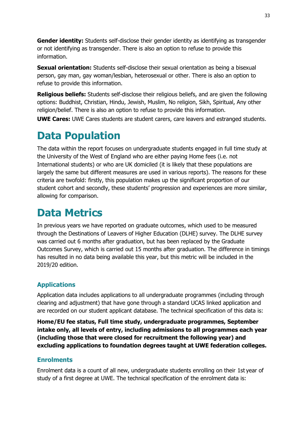**Gender identity:** Students self-disclose their gender identity as identifying as transgender or not identifying as transgender. There is also an option to refuse to provide this information.

**Sexual orientation:** Students self-disclose their sexual orientation as being a bisexual person, gay man, gay woman/lesbian, heterosexual or other. There is also an option to refuse to provide this information.

**Religious beliefs:** Students self-disclose their religious beliefs, and are given the following options: Buddhist, Christian, Hindu, Jewish, Muslim, No religion, Sikh, Spiritual, Any other religion/belief. There is also an option to refuse to provide this information.

**UWE Cares:** UWE Cares students are student carers, care leavers and estranged students.

## <span id="page-32-0"></span>**Data Population**

The data within the report focuses on undergraduate students engaged in full time study at the University of the West of England who are either paying Home fees (i.e. not International students) or who are UK domiciled (it is likely that these populations are largely the same but different measures are used in various reports). The reasons for these criteria are twofold: firstly, this population makes up the significant proportion of our student cohort and secondly, these students' progression and experiences are more similar, allowing for comparison.

## <span id="page-32-1"></span>**Data Metrics**

<span id="page-32-2"></span>In previous years we have reported on graduate outcomes, which used to be measured through the Destinations of Leavers of Higher Education (DLHE) survey. The DLHE survey was carried out 6 months after graduation, but has been replaced by the Graduate Outcomes Survey, which is carried out 15 months after graduation. The difference in timings has resulted in no data being available this year, but this metric will be included in the 2019/20 edition.

### **Applications**

Application data includes applications to all undergraduate programmes (including through clearing and adjustment) that have gone through a standard UCAS linked application and are recorded on our student applicant database. The technical specification of this data is:

**Home/EU fee status, Full time study, undergraduate programmes, September intake only, all levels of entry, including admissions to all programmes each year (including those that were closed for recruitment the following year) and excluding applications to foundation degrees taught at UWE federation colleges.** 

### <span id="page-32-3"></span>**Enrolments**

Enrolment data is a count of all new, undergraduate students enrolling on their 1st year of study of a first degree at UWE. The technical specification of the enrolment data is: